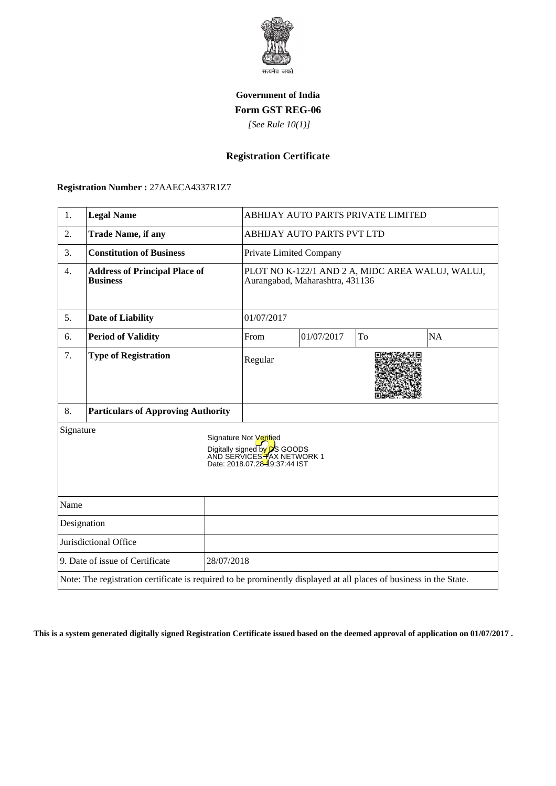

## **Government of India Form GST REG-06**

 *[See Rule 10(1)]*

# **Registration Certificate**

#### **Registration Number :** 27AAECA4337R1Z7

| 1.                                                                                                                                        | <b>Legal Name</b>                                       |  | ABHIJAY AUTO PARTS PRIVATE LIMITED                                                  |            |    |           |
|-------------------------------------------------------------------------------------------------------------------------------------------|---------------------------------------------------------|--|-------------------------------------------------------------------------------------|------------|----|-----------|
| 2.                                                                                                                                        | <b>Trade Name, if any</b>                               |  | <b>ABHIJAY AUTO PARTS PVT LTD</b>                                                   |            |    |           |
| 3.                                                                                                                                        | <b>Constitution of Business</b>                         |  | Private Limited Company                                                             |            |    |           |
| 4.                                                                                                                                        | <b>Address of Principal Place of</b><br><b>Business</b> |  | PLOT NO K-122/1 AND 2 A, MIDC AREA WALUJ, WALUJ,<br>Aurangabad, Maharashtra, 431136 |            |    |           |
| 5.                                                                                                                                        | <b>Date of Liability</b>                                |  | 01/07/2017                                                                          |            |    |           |
| 6.                                                                                                                                        | <b>Period of Validity</b>                               |  | From                                                                                | 01/07/2017 | To | <b>NA</b> |
| 7.                                                                                                                                        | <b>Type of Registration</b>                             |  | Regular                                                                             |            |    |           |
| 8.                                                                                                                                        | <b>Particulars of Approving Authority</b>               |  |                                                                                     |            |    |           |
| Signature<br>Signature Not Verified<br>Digitally signed by <b>D</b> S GOODS<br>AND SERVICES HAX NETWORK 1<br>Date: 2018.07.28-9:37:44 IST |                                                         |  |                                                                                     |            |    |           |
| Name                                                                                                                                      |                                                         |  |                                                                                     |            |    |           |
| Designation                                                                                                                               |                                                         |  |                                                                                     |            |    |           |
| Jurisdictional Office                                                                                                                     |                                                         |  |                                                                                     |            |    |           |
| 9. Date of issue of Certificate<br>28/07/2018                                                                                             |                                                         |  |                                                                                     |            |    |           |
| Note: The registration certificate is required to be prominently displayed at all places of business in the State.                        |                                                         |  |                                                                                     |            |    |           |

**This is a system generated digitally signed Registration Certificate issued based on the deemed approval of application on 01/07/2017 .**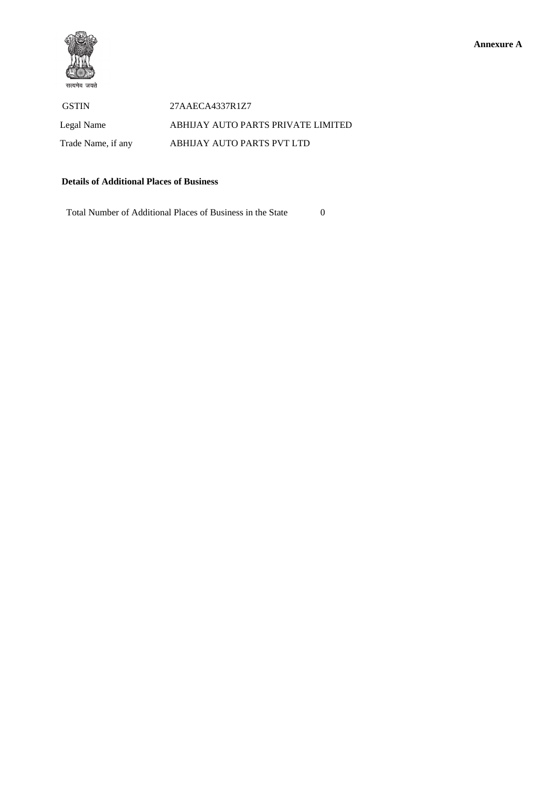

GSTIN 27AAECA4337R1Z7 Legal Name ABHIJAY AUTO PARTS PRIVATE LIMITED Trade Name, if any ABHIJAY AUTO PARTS PVT LTD

### **Details of Additional Places of Business**

Total Number of Additional Places of Business in the State 0